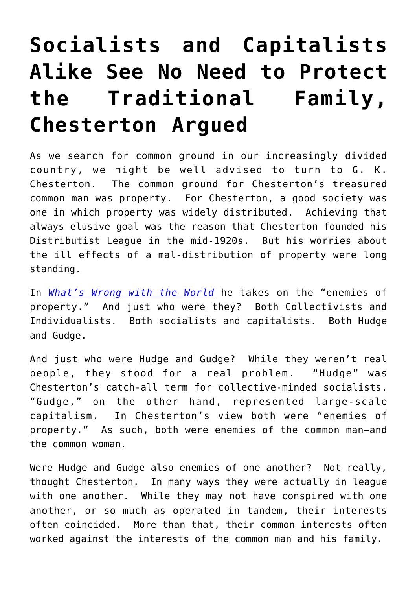## **[Socialists and Capitalists](https://intellectualtakeout.org/2018/03/socialists-and-capitalists-alike-see-no-need-to-protect-the-traditional-family-chesterton-argued/) [Alike See No Need to Protect](https://intellectualtakeout.org/2018/03/socialists-and-capitalists-alike-see-no-need-to-protect-the-traditional-family-chesterton-argued/) [the Traditional Family,](https://intellectualtakeout.org/2018/03/socialists-and-capitalists-alike-see-no-need-to-protect-the-traditional-family-chesterton-argued/) [Chesterton Argued](https://intellectualtakeout.org/2018/03/socialists-and-capitalists-alike-see-no-need-to-protect-the-traditional-family-chesterton-argued/)**

As we search for common ground in our increasingly divided country, we might be well advised to turn to G. K. Chesterton. The common ground for Chesterton's treasured common man was property. For Chesterton, a good society was one in which property was widely distributed. Achieving that always elusive goal was the reason that Chesterton founded his Distributist League in the mid-1920s. But his worries about the ill effects of a mal-distribution of property were long standing.

In *[What's Wrong with the World](http://amzn.to/2GJ5dan)* he takes on the "enemies of property." And just who were they? Both Collectivists and Individualists. Both socialists and capitalists. Both Hudge and Gudge.

And just who were Hudge and Gudge? While they weren't real people, they stood for a real problem. "Hudge" was Chesterton's catch-all term for collective-minded socialists. "Gudge," on the other hand, represented large-scale capitalism. In Chesterton's view both were "enemies of property." As such, both were enemies of the common man—and the common woman.

Were Hudge and Gudge also enemies of one another? Not really, thought Chesterton. In many ways they were actually in league with one another. While they may not have conspired with one another, or so much as operated in tandem, their interests often coincided. More than that, their common interests often worked against the interests of the common man and his family.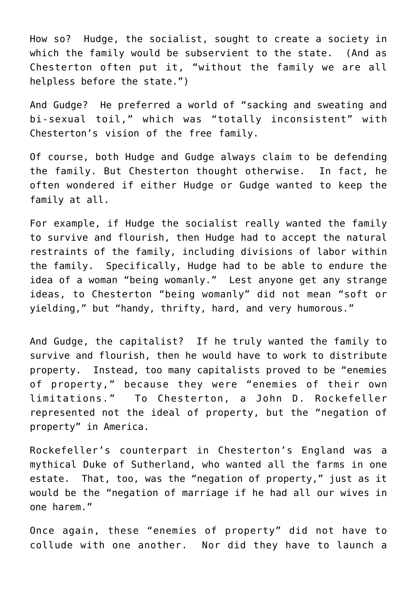How so? Hudge, the socialist, sought to create a society in which the family would be subservient to the state. (And as Chesterton often put it, "without the family we are all helpless before the state.")

And Gudge? He preferred a world of "sacking and sweating and bi-sexual toil," which was "totally inconsistent" with Chesterton's vision of the free family.

Of course, both Hudge and Gudge always claim to be defending the family. But Chesterton thought otherwise. In fact, he often wondered if either Hudge or Gudge wanted to keep the family at all.

For example, if Hudge the socialist really wanted the family to survive and flourish, then Hudge had to accept the natural restraints of the family, including divisions of labor within the family. Specifically, Hudge had to be able to endure the idea of a woman "being womanly." Lest anyone get any strange ideas, to Chesterton "being womanly" did not mean "soft or yielding," but "handy, thrifty, hard, and very humorous."

And Gudge, the capitalist? If he truly wanted the family to survive and flourish, then he would have to work to distribute property. Instead, too many capitalists proved to be "enemies of property," because they were "enemies of their own limitations." To Chesterton, a John D. Rockefeller represented not the ideal of property, but the "negation of property" in America.

Rockefeller's counterpart in Chesterton's England was a mythical Duke of Sutherland, who wanted all the farms in one estate. That, too, was the "negation of property," just as it would be the "negation of marriage if he had all our wives in one harem."

Once again, these "enemies of property" did not have to collude with one another. Nor did they have to launch a